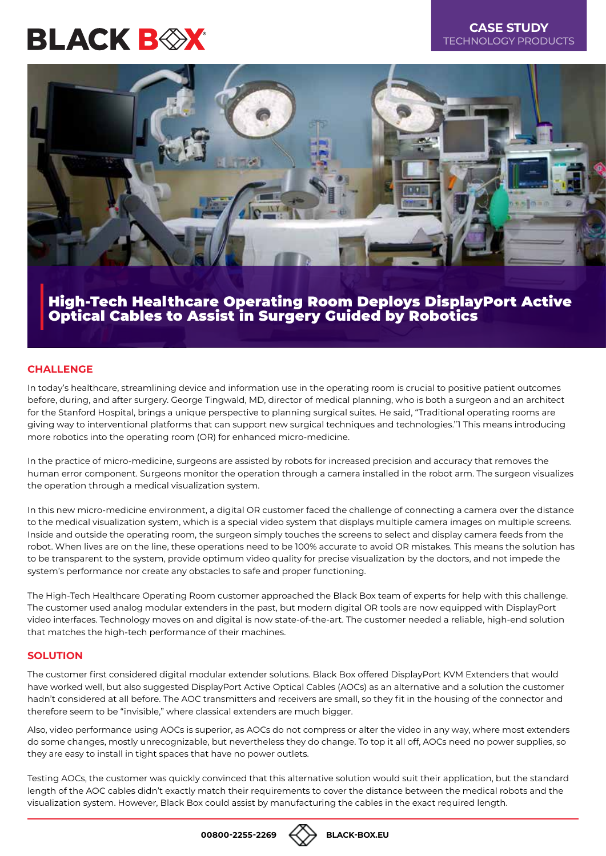# **BLACK BOX**

### **CASE STUDY** TECHNOLOGY PRODUCTS



## High-Tech Healthcare Operating Room Deploys DisplayPort Active Optical Cables to Assist in Surgery Guided by Robotics

#### **CHALLENGE**

In today's healthcare, streamlining device and information use in the operating room is crucial to positive patient outcomes before, during, and after surgery. George Tingwald, MD, director of medical planning, who is both a surgeon and an architect for the Stanford Hospital, brings a unique perspective to planning surgical suites. He said, "Traditional operating rooms are giving way to interventional platforms that can support new surgical techniques and technologies."1 This means introducing more robotics into the operating room (OR) for enhanced micro-medicine.

In the practice of micro-medicine, surgeons are assisted by robots for increased precision and accuracy that removes the human error component. Surgeons monitor the operation through a camera installed in the robot arm. The surgeon visualizes the operation through a medical visualization system.

In this new micro-medicine environment, a digital OR customer faced the challenge of connecting a camera over the distance to the medical visualization system, which is a special video system that displays multiple camera images on multiple screens. Inside and outside the operating room, the surgeon simply touches the screens to select and display camera feeds from the robot. When lives are on the line, these operations need to be 100% accurate to avoid OR mistakes. This means the solution has to be transparent to the system, provide optimum video quality for precise visualization by the doctors, and not impede the system's performance nor create any obstacles to safe and proper functioning.

The High-Tech Healthcare Operating Room customer approached the Black Box team of experts for help with this challenge. The customer used analog modular extenders in the past, but modern digital OR tools are now equipped with DisplayPort video interfaces. Technology moves on and digital is now state-of-the-art. The customer needed a reliable, high-end solution that matches the high-tech performance of their machines.

#### **SOLUTION**

The customer first considered digital modular extender solutions. Black Box offered DisplayPort KVM Extenders that would have worked well, but also suggested DisplayPort Active Optical Cables (AOCs) as an alternative and a solution the customer hadn't considered at all before. The AOC transmitters and receivers are small, so they fit in the housing of the connector and therefore seem to be "invisible," where classical extenders are much bigger.

Also, video performance using AOCs is superior, as AOCs do not compress or alter the video in any way, where most extenders do some changes, mostly unrecognizable, but nevertheless they do change. To top it all off, AOCs need no power supplies, so they are easy to install in tight spaces that have no power outlets.

Testing AOCs, the customer was quickly convinced that this alternative solution would suit their application, but the standard length of the AOC cables didn't exactly match their requirements to cover the distance between the medical robots and the visualization system. However, Black Box could assist by manufacturing the cables in the exact required length.

**00800-2255-2269 [BLACK-BOX.EU](https://black-box.eu/mcx)**